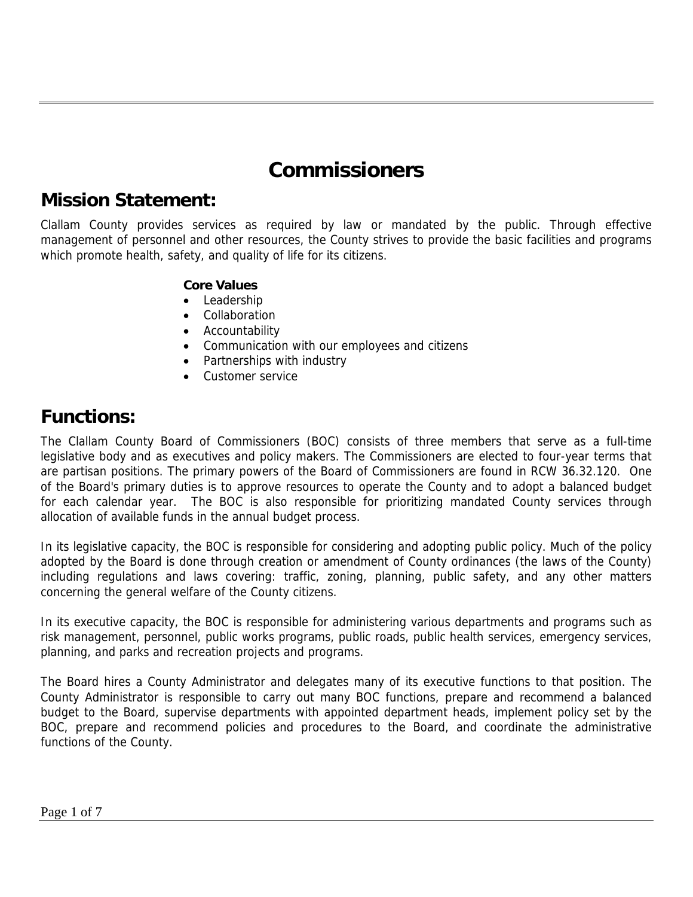## **Commissioners**

### **Mission Statement:**

Clallam County provides services as required by law or mandated by the public. Through effective management of personnel and other resources, the County strives to provide the basic facilities and programs which promote health, safety, and quality of life for its citizens.

#### **Core Values**

- Leadership
- Collaboration
- Accountability
- Communication with our employees and citizens
- Partnerships with industry
- Customer service

### **Functions:**

The Clallam County Board of Commissioners (BOC) consists of three members that serve as a full-time legislative body and as executives and policy makers. The Commissioners are elected to four-year terms that are partisan positions. The primary powers of the Board of Commissioners are found in RCW 36.32.120. One of the Board's primary duties is to approve resources to operate the County and to adopt a balanced budget for each calendar year. The BOC is also responsible for prioritizing mandated County services through allocation of available funds in the annual budget process.

In its legislative capacity, the BOC is responsible for considering and adopting public policy. Much of the policy adopted by the Board is done through creation or amendment of County ordinances (the laws of the County) including regulations and laws covering: traffic, zoning, planning, public safety, and any other matters concerning the general welfare of the County citizens.

In its executive capacity, the BOC is responsible for administering various departments and programs such as risk management, personnel, public works programs, public roads, public health services, emergency services, planning, and parks and recreation projects and programs.

The Board hires a County Administrator and delegates many of its executive functions to that position. The County Administrator is responsible to carry out many BOC functions, prepare and recommend a balanced budget to the Board, supervise departments with appointed department heads, implement policy set by the BOC, prepare and recommend policies and procedures to the Board, and coordinate the administrative functions of the County.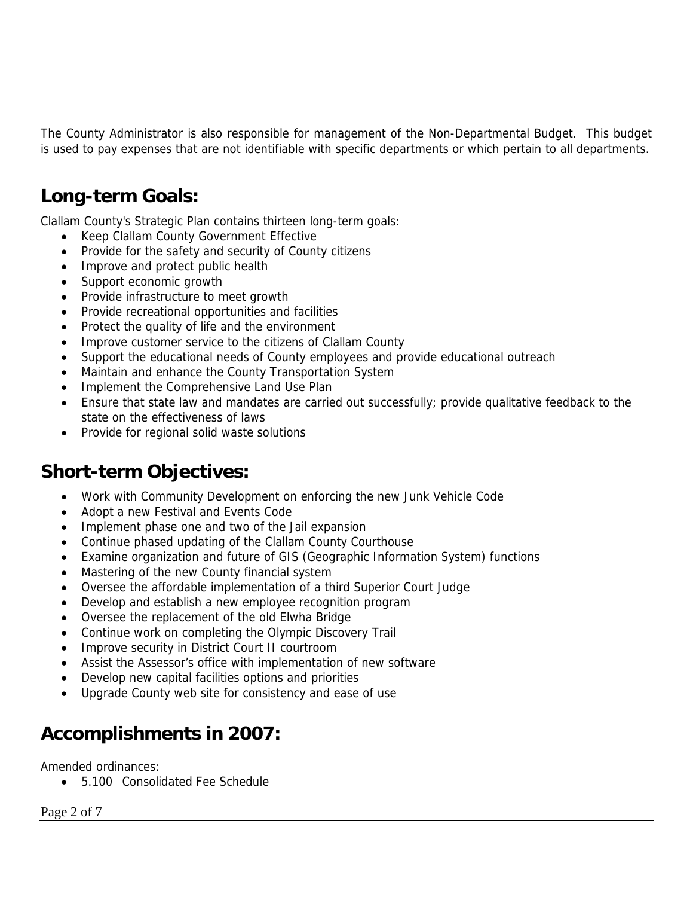The County Administrator is also responsible for management of the Non-Departmental Budget. This budget is used to pay expenses that are not identifiable with specific departments or which pertain to all departments.

### **Long-term Goals:**

Clallam County's Strategic Plan contains thirteen long-term goals:

- Keep Clallam County Government Effective
- Provide for the safety and security of County citizens
- Improve and protect public health
- Support economic growth
- Provide infrastructure to meet growth
- Provide recreational opportunities and facilities
- Protect the quality of life and the environment
- Improve customer service to the citizens of Clallam County
- Support the educational needs of County employees and provide educational outreach
- Maintain and enhance the County Transportation System
- Implement the Comprehensive Land Use Plan
- Ensure that state law and mandates are carried out successfully; provide qualitative feedback to the state on the effectiveness of laws
- Provide for regional solid waste solutions

### **Short-term Objectives:**

- Work with Community Development on enforcing the new Junk Vehicle Code
- Adopt a new Festival and Events Code
- Implement phase one and two of the Jail expansion
- Continue phased updating of the Clallam County Courthouse
- Examine organization and future of GIS (Geographic Information System) functions
- Mastering of the new County financial system
- Oversee the affordable implementation of a third Superior Court Judge
- Develop and establish a new employee recognition program
- Oversee the replacement of the old Elwha Bridge
- Continue work on completing the Olympic Discovery Trail
- Improve security in District Court II courtroom
- Assist the Assessor's office with implementation of new software
- Develop new capital facilities options and priorities
- Upgrade County web site for consistency and ease of use

### **Accomplishments in 2007:**

Amended ordinances:

• 5.100 Consolidated Fee Schedule

Page 2 of 7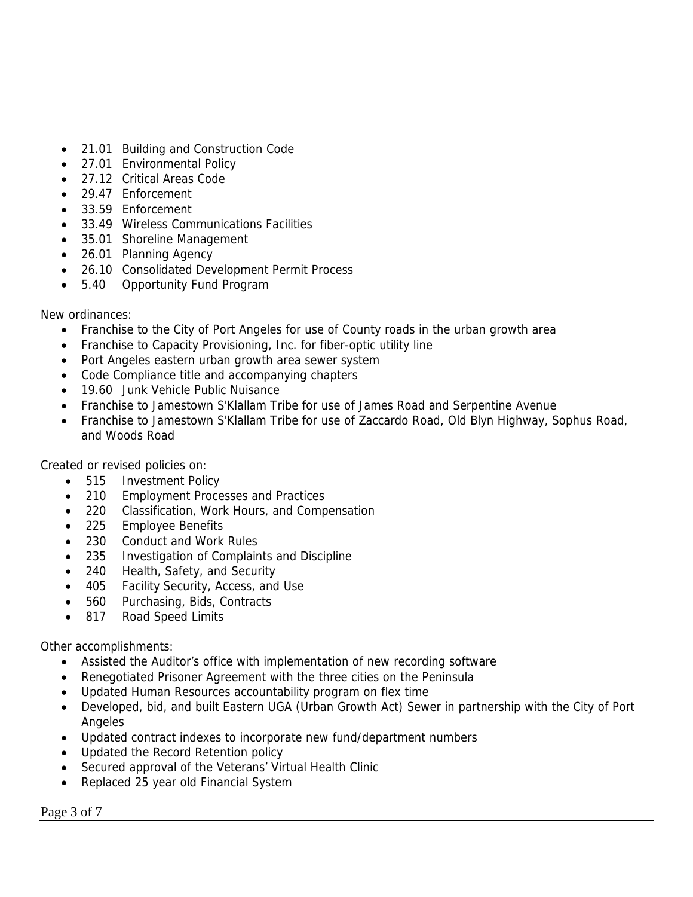- 21.01 Building and Construction Code
- 27.01 Environmental Policy
- 27.12 Critical Areas Code
- 29.47 Enforcement
- 33.59 Enforcement
- 33.49 Wireless Communications Facilities
- 35.01 Shoreline Management
- 26.01 Planning Agency
- 26.10 Consolidated Development Permit Process
- 5.40 Opportunity Fund Program

New ordinances:

- Franchise to the City of Port Angeles for use of County roads in the urban growth area
- Franchise to Capacity Provisioning, Inc. for fiber-optic utility line
- Port Angeles eastern urban growth area sewer system
- Code Compliance title and accompanying chapters
- 19.60 Junk Vehicle Public Nuisance
- Franchise to Jamestown S'Klallam Tribe for use of James Road and Serpentine Avenue
- Franchise to Jamestown S'Klallam Tribe for use of Zaccardo Road, Old Blyn Highway, Sophus Road, and Woods Road

Created or revised policies on:

- 515 Investment Policy
- 210 Employment Processes and Practices
- 220 Classification, Work Hours, and Compensation
- 225 Employee Benefits
- 230 Conduct and Work Rules
- 235 Investigation of Complaints and Discipline
- 240 Health, Safety, and Security
- 405 Facility Security, Access, and Use
- 560 Purchasing, Bids, Contracts
- 817 Road Speed Limits

Other accomplishments:

- Assisted the Auditor's office with implementation of new recording software
- Renegotiated Prisoner Agreement with the three cities on the Peninsula
- Updated Human Resources accountability program on flex time
- Developed, bid, and built Eastern UGA (Urban Growth Act) Sewer in partnership with the City of Port Angeles
- Updated contract indexes to incorporate new fund/department numbers
- Updated the Record Retention policy
- Secured approval of the Veterans' Virtual Health Clinic
- Replaced 25 year old Financial System

Page 3 of 7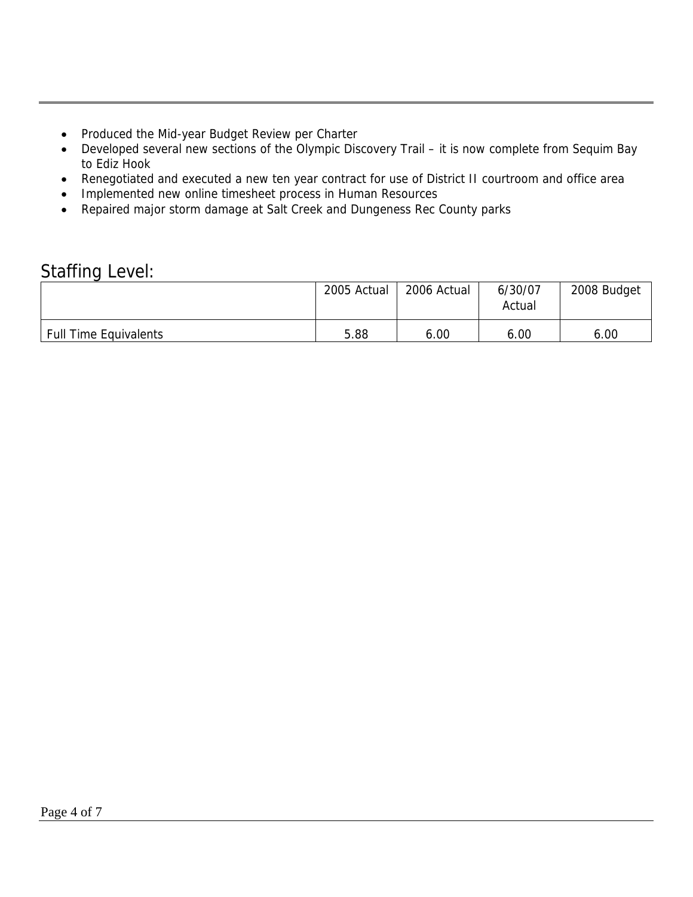- Produced the Mid-year Budget Review per Charter
- Developed several new sections of the Olympic Discovery Trail it is now complete from Sequim Bay to Ediz Hook
- Renegotiated and executed a new ten year contract for use of District II courtroom and office area
- Implemented new online timesheet process in Human Resources
- Repaired major storm damage at Salt Creek and Dungeness Rec County parks

### Staffing Level:

|                              | 2005 Actual | 2006 Actual | 6/30/07<br>Actual | 2008 Budget |
|------------------------------|-------------|-------------|-------------------|-------------|
| <b>Full Time Equivalents</b> | 5.88        | 6.00        | 6.00              | 6.00        |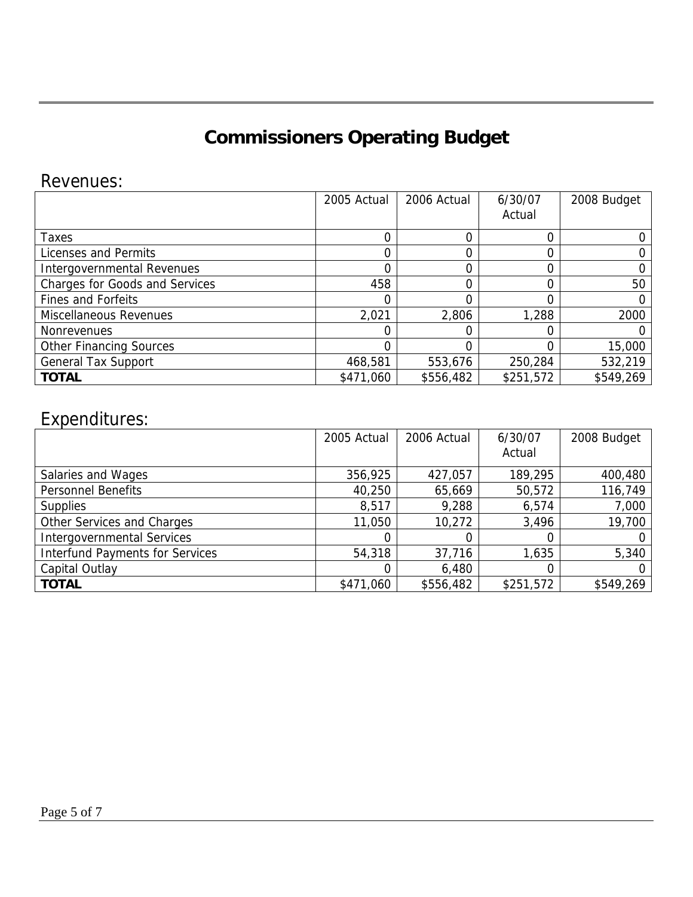# **Commissioners Operating Budget**

### Revenues:

|                                       | 2005 Actual | 2006 Actual | 6/30/07<br>Actual | 2008 Budget |
|---------------------------------------|-------------|-------------|-------------------|-------------|
| Taxes                                 | 0           | 0           |                   |             |
| Licenses and Permits                  | 0           | 0           |                   |             |
| Intergovernmental Revenues            | 0           | 0           |                   |             |
| <b>Charges for Goods and Services</b> | 458         | 0           |                   | 50          |
| <b>Fines and Forfeits</b>             | 0           | 0           |                   |             |
| Miscellaneous Revenues                | 2,021       | 2,806       | 1,288             | 2000        |
| <b>Nonrevenues</b>                    | 0           | 0           |                   |             |
| <b>Other Financing Sources</b>        | 0           | 0           | 0                 | 15,000      |
| <b>General Tax Support</b>            | 468,581     | 553,676     | 250,284           | 532,219     |
| <b>TOTAL</b>                          | \$471,060   | \$556,482   | \$251,572         | \$549,269   |

### Expenditures:

|                                        | 2005 Actual | 2006 Actual | 6/30/07<br>Actual | 2008 Budget |
|----------------------------------------|-------------|-------------|-------------------|-------------|
| Salaries and Wages                     | 356,925     | 427,057     | 189,295           | 400,480     |
| <b>Personnel Benefits</b>              | 40,250      | 65,669      | 50,572            | 116,749     |
| <b>Supplies</b>                        | 8,517       | 9,288       | 6,574             | 7,000       |
| Other Services and Charges             | 11,050      | 10,272      | 3,496             | 19,700      |
| <b>Intergovernmental Services</b>      |             | 0           | 0                 | 0           |
| <b>Interfund Payments for Services</b> | 54,318      | 37,716      | 1,635             | 5,340       |
| Capital Outlay                         |             | 6,480       | 0                 | 0           |
| <b>TOTAL</b>                           | \$471,060   | \$556,482   | \$251,572         | \$549,269   |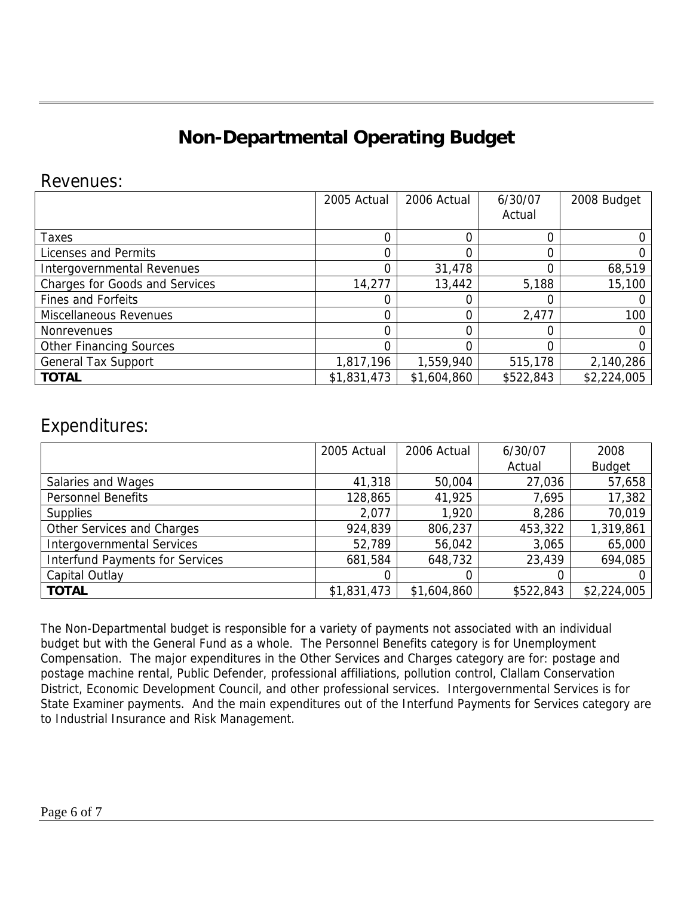# **Non-Departmental Operating Budget**

### Revenues:

|                                       | 2005 Actual | 2006 Actual | 6/30/07<br>Actual | 2008 Budget |
|---------------------------------------|-------------|-------------|-------------------|-------------|
| Taxes                                 | 0           | 0           |                   |             |
| Licenses and Permits                  | 0           | 0           |                   |             |
| Intergovernmental Revenues            | 0           | 31,478      | 0                 | 68,519      |
| <b>Charges for Goods and Services</b> | 14,277      | 13,442      | 5,188             | 15,100      |
| <b>Fines and Forfeits</b>             | 0           | 0           |                   |             |
| <b>Miscellaneous Revenues</b>         | 0           | 0           | 2,477             | 100         |
| <b>Nonrevenues</b>                    | 0           | 0           |                   |             |
| <b>Other Financing Sources</b>        | 0           | 0           | 0                 |             |
| <b>General Tax Support</b>            | 1,817,196   | 1,559,940   | 515,178           | 2,140,286   |
| <b>TOTAL</b>                          | \$1,831,473 | \$1,604,860 | \$522,843         | \$2,224,005 |

### Expenditures:

|                                        | 2005 Actual | 2006 Actual | 6/30/07   | 2008          |
|----------------------------------------|-------------|-------------|-----------|---------------|
|                                        |             |             | Actual    | <b>Budget</b> |
| Salaries and Wages                     | 41,318      | 50,004      | 27,036    | 57,658        |
| <b>Personnel Benefits</b>              | 128,865     | 41,925      | 7,695     | 17,382        |
| <b>Supplies</b>                        | 2,077       | 1,920       | 8,286     | 70,019        |
| Other Services and Charges             | 924,839     | 806,237     | 453,322   | 1,319,861     |
| <b>Intergovernmental Services</b>      | 52,789      | 56,042      | 3,065     | 65,000        |
| <b>Interfund Payments for Services</b> | 681,584     | 648,732     | 23,439    | 694,085       |
| Capital Outlay                         | 0           | $\Omega$    |           |               |
| <b>TOTAL</b>                           | \$1,831,473 | \$1,604,860 | \$522,843 | \$2,224,005   |

The Non-Departmental budget is responsible for a variety of payments not associated with an individual budget but with the General Fund as a whole. The Personnel Benefits category is for Unemployment Compensation. The major expenditures in the Other Services and Charges category are for: postage and postage machine rental, Public Defender, professional affiliations, pollution control, Clallam Conservation District, Economic Development Council, and other professional services. Intergovernmental Services is for State Examiner payments. And the main expenditures out of the Interfund Payments for Services category are to Industrial Insurance and Risk Management.